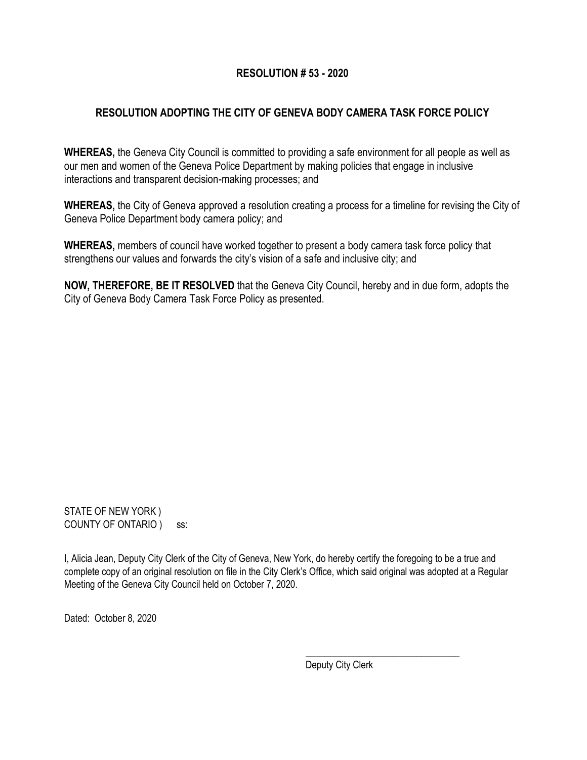## **RESOLUTION # 53 - 2020**

# **RESOLUTION ADOPTING THE CITY OF GENEVA BODY CAMERA TASK FORCE POLICY**

**WHEREAS,** the Geneva City Council is committed to providing a safe environment for all people as well as our men and women of the Geneva Police Department by making policies that engage in inclusive interactions and transparent decision-making processes; and

**WHEREAS,** the City of Geneva approved a resolution creating a process for a timeline for revising the City of Geneva Police Department body camera policy; and

**WHEREAS,** members of council have worked together to present a body camera task force policy that strengthens our values and forwards the city's vision of a safe and inclusive city; and

**NOW, THEREFORE, BE IT RESOLVED** that the Geneva City Council, hereby and in due form, adopts the City of Geneva Body Camera Task Force Policy as presented.

STATE OF NEW YORK ) COUNTY OF ONTARIO ) ss:

I, Alicia Jean, Deputy City Clerk of the City of Geneva, New York, do hereby certify the foregoing to be a true and complete copy of an original resolution on file in the City Clerk's Office, which said original was adopted at a Regular Meeting of the Geneva City Council held on October 7, 2020.

Dated: October 8, 2020

Deputy City Clerk

\_\_\_\_\_\_\_\_\_\_\_\_\_\_\_\_\_\_\_\_\_\_\_\_\_\_\_\_\_\_\_\_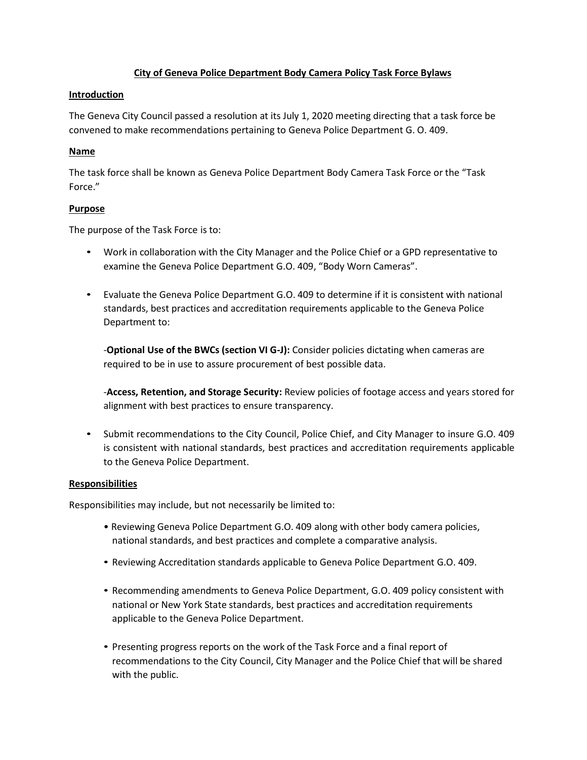### **City of Geneva Police Department Body Camera Policy Task Force Bylaws**

#### **Introduction**

The Geneva City Council passed a resolution at its July 1, 2020 meeting directing that a task force be convened to make recommendations pertaining to Geneva Police Department G. O. 409.

### **Name**

The task force shall be known as Geneva Police Department Body Camera Task Force or the "Task Force."

### **Purpose**

The purpose of the Task Force is to:

- Work in collaboration with the City Manager and the Police Chief or a GPD representative to examine the Geneva Police Department G.O. 409, "Body Worn Cameras".
- Evaluate the Geneva Police Department G.O. 409 to determine if it is consistent with national standards, best practices and accreditation requirements applicable to the Geneva Police Department to:

-**Optional Use of the BWCs (section VI G-J):** Consider policies dictating when cameras are required to be in use to assure procurement of best possible data.

-**Access, Retention, and Storage Security:** Review policies of footage access and years stored for alignment with best practices to ensure transparency.

• Submit recommendations to the City Council, Police Chief, and City Manager to insure G.O. 409 is consistent with national standards, best practices and accreditation requirements applicable to the Geneva Police Department.

### **Responsibilities**

Responsibilities may include, but not necessarily be limited to:

- Reviewing Geneva Police Department G.O. 409 along with other body camera policies, national standards, and best practices and complete a comparative analysis.
- Reviewing Accreditation standards applicable to Geneva Police Department G.O. 409.
- Recommending amendments to Geneva Police Department, G.O. 409 policy consistent with national or New York State standards, best practices and accreditation requirements applicable to the Geneva Police Department.
- Presenting progress reports on the work of the Task Force and a final report of recommendations to the City Council, City Manager and the Police Chief that will be shared with the public.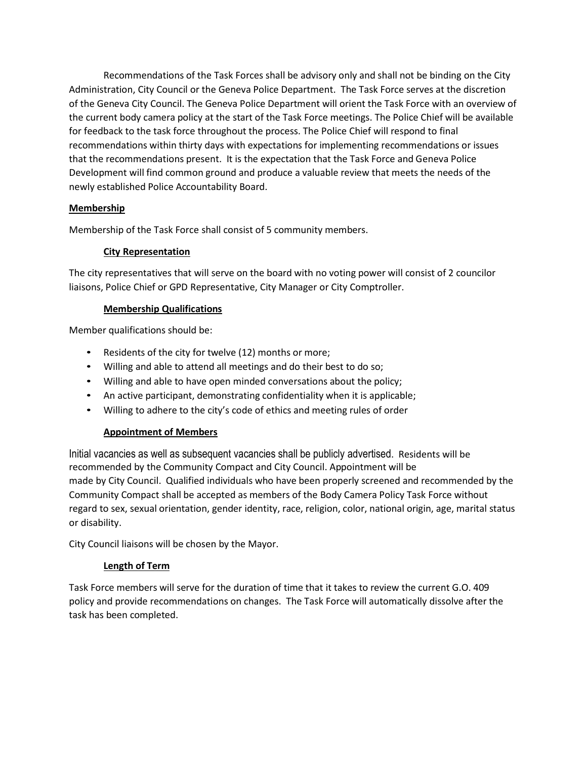Recommendations of the Task Forces shall be advisory only and shall not be binding on the City Administration, City Council or the Geneva Police Department. The Task Force serves at the discretion of the Geneva City Council. The Geneva Police Department will orient the Task Force with an overview of the current body camera policy at the start of the Task Force meetings. The Police Chief will be available for feedback to the task force throughout the process. The Police Chief will respond to final recommendations within thirty days with expectations for implementing recommendations or issues that the recommendations present. It is the expectation that the Task Force and Geneva Police Development will find common ground and produce a valuable review that meets the needs of the newly established Police Accountability Board.

## **Membership**

Membership of the Task Force shall consist of 5 community members.

### **City Representation**

The city representatives that will serve on the board with no voting power will consist of 2 councilor liaisons, Police Chief or GPD Representative, City Manager or City Comptroller.

### **Membership Qualifications**

Member qualifications should be:

- Residents of the city for twelve (12) months or more;
- Willing and able to attend all meetings and do their best to do so;
- Willing and able to have open minded conversations about the policy;
- An active participant, demonstrating confidentiality when it is applicable;
- Willing to adhere to the city's code of ethics and meeting rules of order

### **Appointment of Members**

Initial vacancies as well as subsequent vacancies shall be publicly advertised. Residents will be recommended by the Community Compact and City Council. Appointment will be made by City Council. Qualified individuals who have been properly screened and recommended by the Community Compact shall be accepted as members of the Body Camera Policy Task Force without regard to sex, sexual orientation, gender identity, race, religion, color, national origin, age, marital status or disability.

City Council liaisons will be chosen by the Mayor.

### **Length of Term**

Task Force members will serve for the duration of time that it takes to review the current G.O. 409 policy and provide recommendations on changes. The Task Force will automatically dissolve after the task has been completed.